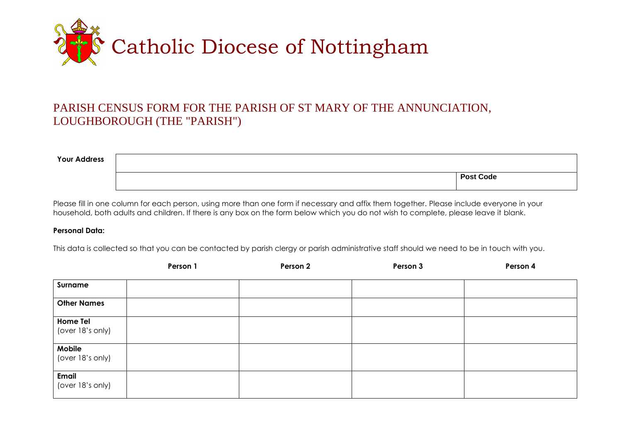

## PARISH CENSUS FORM FOR THE PARISH OF ST MARY OF THE ANNUNCIATION, LOUGHBOROUGH (THE "PARISH")

| <b>Your Address</b> |                  |
|---------------------|------------------|
|                     | <b>Post Code</b> |

Please fill in one column for each person, using more than one form if necessary and affix them together. Please include everyone in your household, both adults and children. If there is any box on the form below which you do not wish to complete, please leave it blank.

## **Personal Data:**

This data is collected so that you can be contacted by parish clergy or parish administrative staff should we need to be in touch with you.

|                                     | Person 1 | Person 2 | Person 3 | Person 4 |
|-------------------------------------|----------|----------|----------|----------|
| Surname                             |          |          |          |          |
| <b>Other Names</b>                  |          |          |          |          |
| <b>Home Tel</b><br>(over 18's only) |          |          |          |          |
| Mobile<br>(over 18's only)          |          |          |          |          |
| Email<br>(over 18's only)           |          |          |          |          |